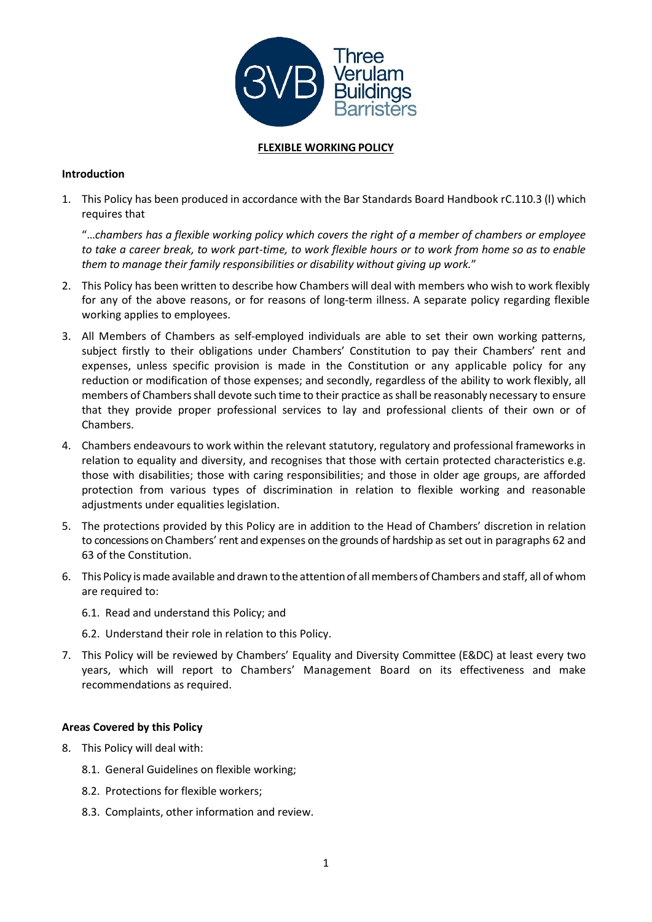

# **FLEXIBLE WORKING POLICY**

## **Introduction**

1. This Policy has been produced in accordance with the Bar Standards Board Handbook rC.110.3 (l) which requires that

"…*chambers has a flexible working policy which covers the right of a member of chambers or employee* to take a career break, to work part-time, to work flexible hours or to work from home so as to enable *them to manage their family responsibilities or disability without giving up work.*"

- 2. This Policy has been written to describe how Chambers will deal with members who wish to work flexibly for any of the above reasons, or for reasons of long-term illness. A separate policy regarding flexible working applies to employees.
- 3. All Members of Chambers as self-employed individuals are able to set their own working patterns, subject firstly to their obligations under Chambers' Constitution to pay their Chambers' rent and expenses, unless specific provision is made in the Constitution or any applicable policy for any reduction or modification of those expenses; and secondly, regardless of the ability to work flexibly, all members of Chambers shall devote such time to their practice as shall be reasonably necessary to ensure that they provide proper professional services to lay and professional clients of their own or of Chambers.
- 4. Chambers endeavours to work within the relevant statutory, regulatory and professional frameworks in relation to equality and diversity, and recognises that those with certain protected characteristics e.g. those with disabilities; those with caring responsibilities; and those in older age groups, are afforded protection from various types of discrimination in relation to flexible working and reasonable adjustments under equalities legislation.
- 5. The protections provided by this Policy are in addition to the Head of Chambers' discretion in relation to concessions on Chambers' rent and expenses on the grounds of hardship as set out in paragraphs 62 and 63 of the Constitution.
- 6. This Policy ismade available and drawn to the attentionof allmembersof Chambers and staff, all of whom are required to:
	- 6.1. Read and understand this Policy; and
	- 6.2. Understand their role in relation to this Policy.
- 7. This Policy will be reviewed by Chambers' Equality and Diversity Committee (E&DC) at least every two years, which will report to Chambers' Management Board on its effectiveness and make recommendations as required.

## **Areas Covered by this Policy**

- 8. This Policy will deal with:
	- 8.1. General Guidelines on flexible working;
	- 8.2. Protections for flexible workers;
	- 8.3. Complaints, other information and review.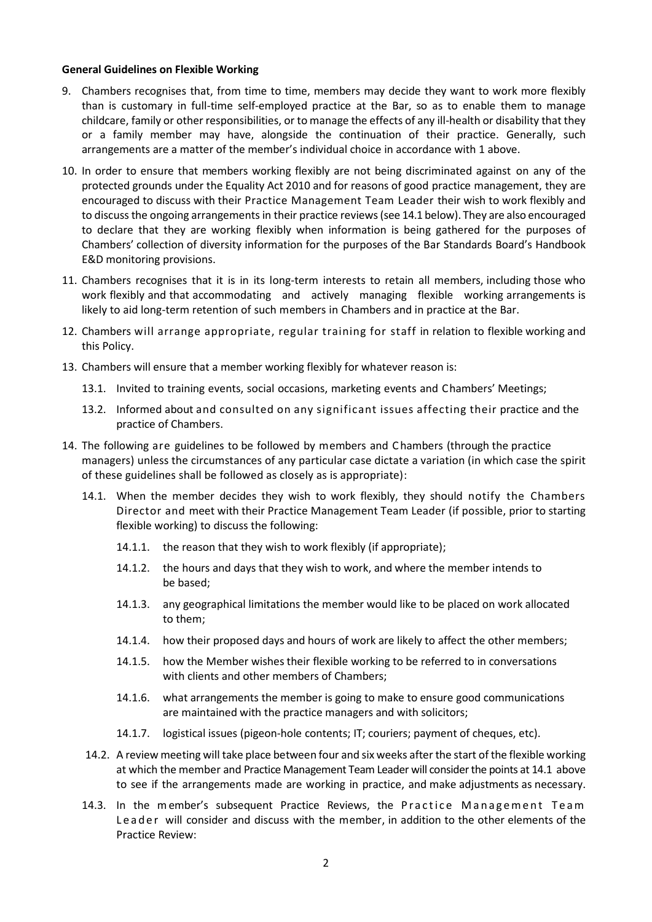#### **General Guidelines on Flexible Working**

- 9. Chambers recognises that, from time to time, members may decide they want to work more flexibly than is customary in full-time self-employed practice at the Bar, so as to enable them to manage childcare, family or other responsibilities, or to manage the effects of any ill-health or disability that they or a family member may have, alongside the continuation of their practice. Generally, such arrangements are a matter of the member's individual choice in accordance with 1 above.
- 10. In order to ensure that members working flexibly are not being discriminated against on any of the protected grounds under the Equality Act 2010 and for reasons of good practice management, they are encouraged to discuss with their Practice Management Team Leader their wish to work flexibly and to discussthe ongoing arrangementsin their practice reviews(see 14.1 below). They are also encouraged to declare that they are working flexibly when information is being gathered for the purposes of Chambers' collection of diversity information for the purposes of the Bar Standards Board's Handbook E&D monitoring provisions.
- 11. Chambers recognises that it is in its long-term interests to retain all members, including those who work flexibly and that accommodating and actively managing flexible working arrangements is likely to aid long-term retention of such members in Chambers and in practice at the Bar.
- 12. Chambers will arrange appropriate, regular training for staff in relation to flexible working and this Policy.
- 13. Chambers will ensure that a member working flexibly for whatever reason is:
	- 13.1. Invited to training events, social occasions, marketing events and Chambers' Meetings;
	- 13.2. Informed about and consulted on any significant issues affecting their practice and the practice of Chambers.
- 14. The following are guidelines to be followed by members and Chambers (through the practice managers) unless the circumstances of any particular case dictate a variation (in which case the spirit of these guidelines shall be followed as closely as is appropriate):
	- 14.1. When the member decides they wish to work flexibly, they should notify the Chambers Director and meet with their Practice Management Team Leader (if possible, prior to starting flexible working) to discuss the following:
		- 14.1.1. the reason that they wish to work flexibly (if appropriate);
		- 14.1.2. the hours and days that they wish to work, and where the member intends to be based;
		- 14.1.3. any geographical limitations the member would like to be placed on work allocated to them;
		- 14.1.4. how their proposed days and hours of work are likely to affect the other members;
		- 14.1.5. how the Member wishes their flexible working to be referred to in conversations with clients and other members of Chambers;
		- 14.1.6. what arrangements the member is going to make to ensure good communications are maintained with the practice managers and with solicitors;
		- 14.1.7. logistical issues (pigeon-hole contents; IT; couriers; payment of cheques, etc).
	- 14.2. A review meeting will take place between four and six weeks after the start of the flexible working at which the member and Practice Management Team Leader will consider the points at 14.1 above to see if the arrangements made are working in practice, and make adjustments as necessary.
	- 14.3. In the member's subsequent Practice Reviews, the Practice Management Team Leader will consider and discuss with the member, in addition to the other elements of the Practice Review: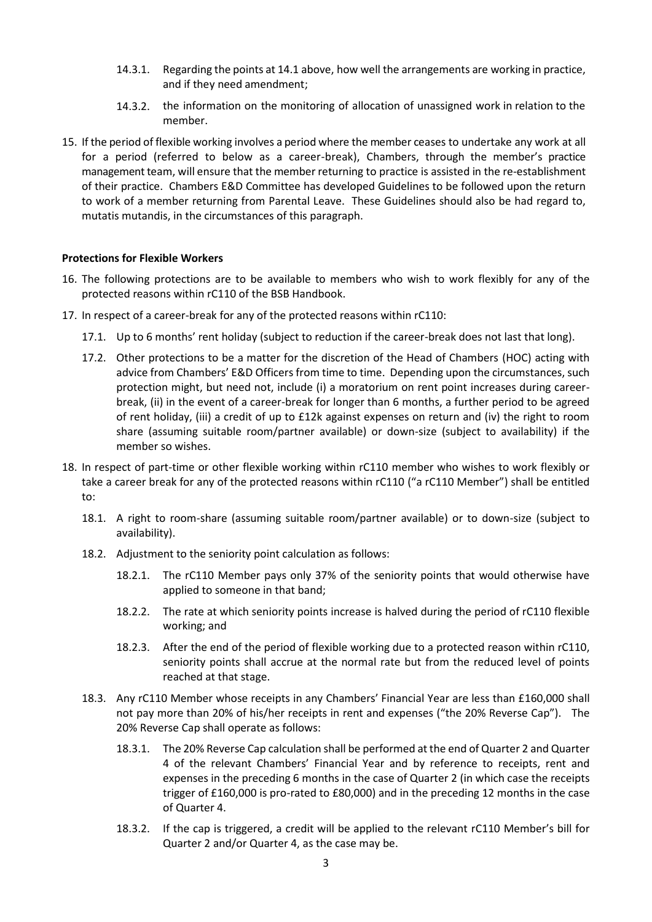- 14.3.1. Regarding the points at 14.1 above, how well the arrangements are working in practice, and if they need amendment;
- 14.3.2. the information on the monitoring of allocation of unassigned work in relation to the member.
- 15. If the period of flexible working involves a period where the member ceases to undertake any work at all for a period (referred to below as a career-break), Chambers, through the member's practice management team, will ensure that the member returning to practice is assisted in the re-establishment of their practice. Chambers E&D Committee has developed Guidelines to be followed upon the return to work of a member returning from Parental Leave. These Guidelines should also be had regard to, mutatis mutandis, in the circumstances of this paragraph.

## **Protections for Flexible Workers**

- 16. The following protections are to be available to members who wish to work flexibly for any of the protected reasons within rC110 of the BSB Handbook.
- 17. In respect of a career-break for any of the protected reasons within rC110:
	- 17.1. Up to 6 months' rent holiday (subject to reduction if the career-break does not last that long).
	- 17.2. Other protections to be a matter for the discretion of the Head of Chambers (HOC) acting with advice from Chambers' E&D Officers from time to time. Depending upon the circumstances, such protection might, but need not, include (i) a moratorium on rent point increases during careerbreak, (ii) in the event of a career-break for longer than 6 months, a further period to be agreed of rent holiday, (iii) a credit of up to £12k against expenses on return and (iv) the right to room share (assuming suitable room/partner available) or down-size (subject to availability) if the member so wishes.
- 18. In respect of part-time or other flexible working within rC110 member who wishes to work flexibly or take a career break for any of the protected reasons within rC110 ("a rC110 Member") shall be entitled to:
	- 18.1. A right to room-share (assuming suitable room/partner available) or to down-size (subject to availability).
	- 18.2. Adjustment to the seniority point calculation as follows:
		- 18.2.1. The rC110 Member pays only 37% of the seniority points that would otherwise have applied to someone in that band;
		- 18.2.2. The rate at which seniority points increase is halved during the period of rC110 flexible working; and
		- 18.2.3. After the end of the period of flexible working due to a protected reason within rC110, seniority points shall accrue at the normal rate but from the reduced level of points reached at that stage.
	- 18.3. Any rC110 Member whose receipts in any Chambers' Financial Year are less than £160,000 shall not pay more than 20% of his/her receipts in rent and expenses ("the 20% Reverse Cap"). The 20% Reverse Cap shall operate as follows:
		- 18.3.1. The 20% Reverse Cap calculation shall be performed at the end of Quarter 2 and Quarter 4 of the relevant Chambers' Financial Year and by reference to receipts, rent and expenses in the preceding 6 months in the case of Quarter 2 (in which case the receipts trigger of £160,000 is pro-rated to £80,000) and in the preceding 12 months in the case of Quarter 4.
		- 18.3.2. If the cap is triggered, a credit will be applied to the relevant rC110 Member's bill for Quarter 2 and/or Quarter 4, as the case may be.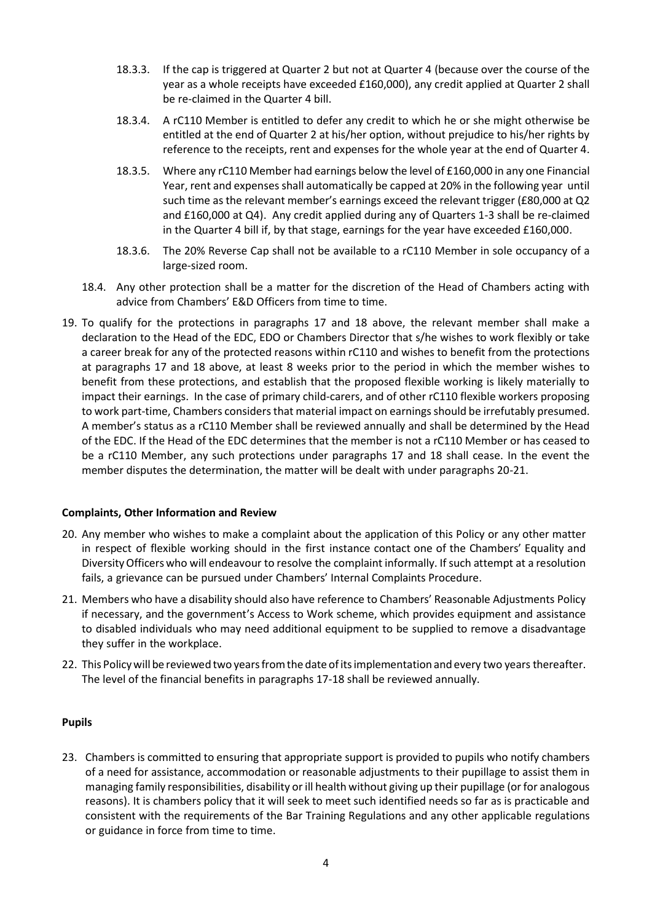- 18.3.3. If the cap is triggered at Quarter 2 but not at Quarter 4 (because over the course of the year as a whole receipts have exceeded £160,000), any credit applied at Quarter 2 shall be re-claimed in the Quarter 4 bill.
- 18.3.4. A rC110 Member is entitled to defer any credit to which he or she might otherwise be entitled at the end of Quarter 2 at his/her option, without prejudice to his/her rights by reference to the receipts, rent and expenses for the whole year at the end of Quarter 4.
- 18.3.5. Where any rC110 Member had earnings below the level of £160,000 in any one Financial Year, rent and expenses shall automatically be capped at 20% in the following year until such time as the relevant member's earnings exceed the relevant trigger (£80,000 at Q2 and £160,000 at Q4). Any credit applied during any of Quarters 1-3 shall be re-claimed in the Quarter 4 bill if, by that stage, earnings for the year have exceeded £160,000.
- 18.3.6. The 20% Reverse Cap shall not be available to a rC110 Member in sole occupancy of a large-sized room.
- 18.4. Any other protection shall be a matter for the discretion of the Head of Chambers acting with advice from Chambers' E&D Officers from time to time.
- 19. To qualify for the protections in paragraphs 17 and 18 above, the relevant member shall make a declaration to the Head of the EDC, EDO or Chambers Director that s/he wishes to work flexibly or take a career break for any of the protected reasons within rC110 and wishes to benefit from the protections at paragraphs 17 and 18 above, at least 8 weeks prior to the period in which the member wishes to benefit from these protections, and establish that the proposed flexible working is likely materially to impact their earnings. In the case of primary child-carers, and of other rC110 flexible workers proposing to work part-time, Chambers considers that material impact on earnings should be irrefutably presumed. A member's status as a rC110 Member shall be reviewed annually and shall be determined by the Head of the EDC. If the Head of the EDC determines that the member is not a rC110 Member or has ceased to be a rC110 Member, any such protections under paragraphs 17 and 18 shall cease. In the event the member disputes the determination, the matter will be dealt with under paragraphs 20-21.

## **Complaints, Other Information and Review**

- 20. Any member who wishes to make a complaint about the application of this Policy or any other matter in respect of flexible working should in the first instance contact one of the Chambers' Equality and DiversityOfficers who will endeavour to resolve the complaint informally. Ifsuch attempt at a resolution fails, a grievance can be pursued under Chambers' Internal Complaints Procedure.
- 21. Members who have a disability should also have reference to Chambers' Reasonable Adjustments Policy if necessary, and the government's Access to Work scheme, which provides equipment and assistance to disabled individuals who may need additional equipment to be supplied to remove a disadvantage they suffer in the workplace.
- 22. This Policy will be reviewed two years from the date of its implementation and every two years thereafter. The level of the financial benefits in paragraphs 17-18 shall be reviewed annually.

## **Pupils**

23. Chambers is committed to ensuring that appropriate support is provided to pupils who notify chambers of a need for assistance, accommodation or reasonable adjustments to their pupillage to assist them in managing family responsibilities, disability or ill health without giving up their pupillage (or for analogous reasons). It is chambers policy that it will seek to meet such identified needs so far as is practicable and consistent with the requirements of the Bar Training Regulations and any other applicable regulations or guidance in force from time to time.